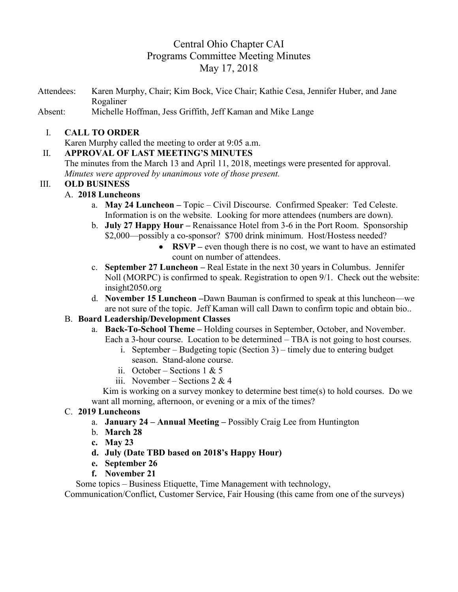# Central Ohio Chapter CAI Programs Committee Meeting Minutes May 17, 2018

Attendees: Karen Murphy, Chair; Kim Bock, Vice Chair; Kathie Cesa, Jennifer Huber, and Jane Rogaliner

Absent: Michelle Hoffman, Jess Griffith, Jeff Kaman and Mike Lange

## I. **CALL TO ORDER**

Karen Murphy called the meeting to order at 9:05 a.m.

# II. **APPROVAL OF LAST MEETING'S MINUTES**

The minutes from the March 13 and April 11, 2018, meetings were presented for approval. *Minutes were approved by unanimous vote of those present.*

# III. **OLD BUSINESS**

# A. **2018 Luncheons**

- a. **May 24 Luncheon –** Topic Civil Discourse.Confirmed Speaker: Ted Celeste. Information is on the website. Looking for more attendees (numbers are down).
- b. **July 27 Happy Hour –** Renaissance Hotel from 3-6 in the Port Room. Sponsorship \$2,000—possibly a co-sponsor? \$700 drink minimum. Host/Hostess needed?
	- **RSVP** even though there is no cost, we want to have an estimated count on number of attendees.
- c. **September 27 Luncheon –** Real Estate in the next 30 years in Columbus. Jennifer Noll (MORPC) is confirmed to speak. Registration to open 9/1. Check out the website: insight2050.org
- d. **November 15 Luncheon –**Dawn Bauman is confirmed to speak at this luncheon—we are not sure of the topic. Jeff Kaman will call Dawn to confirm topic and obtain bio..

# B. **Board Leadership/Development Classes**

- a. **Back-To-School Theme –** Holding courses in September, October, and November. Each a 3-hour course. Location to be determined – TBA is not going to host courses.
	- i. September Budgeting topic (Section 3) timely due to entering budget season. Stand-alone course.
	- ii. October Sections 1 & 5
	- iii. November Sections  $2 \& 4$

 Kim is working on a survey monkey to determine best time(s) to hold courses. Do we want all morning, afternoon, or evening or a mix of the times?

#### C. **2019 Luncheons**

- a. **January 24 – Annual Meeting –** Possibly Craig Lee from Huntington
- b. **March 28**
- **c. May 23**
- **d. July (Date TBD based on 2018's Happy Hour)**
- **e. September 26**
- **f. November 21**

Some topics – Business Etiquette, Time Management with technology,

Communication/Conflict, Customer Service, Fair Housing (this came from one of the surveys)